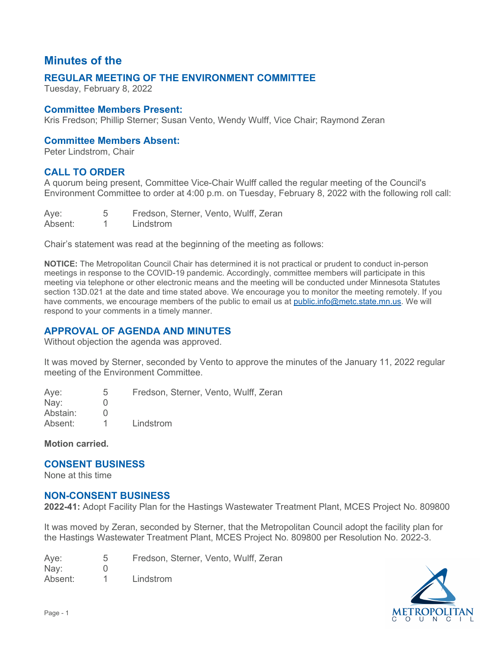# **Minutes of the**

## **REGULAR MEETING OF THE ENVIRONMENT COMMITTEE**

Tuesday, February 8, 2022

#### **Committee Members Present:**

Kris Fredson; Phillip Sterner; Susan Vento, Wendy Wulff, Vice Chair; Raymond Zeran

#### **Committee Members Absent:**

Peter Lindstrom, Chair

## **CALL TO ORDER**

 A quorum being present, Committee Vice-Chair Wulff called the regular meeting of the Council's Environment Committee to order at 4:00 p.m. on Tuesday, February 8, 2022 with the following roll call:

| Aye:    | Fredson, Sterner, Vento, Wulff, Zeran |
|---------|---------------------------------------|
| Absent: | Lindstrom                             |

Chair's statement was read at the beginning of the meeting as follows:

 section 13D.021 at the date and time stated above. We encourage you to monitor the meeting remotely. If you respond to your comments in a timely manner. **NOTICE:** The Metropolitan Council Chair has determined it is not practical or prudent to conduct in-person meetings in response to the COVID-19 pandemic. Accordingly, committee members will participate in this meeting via telephone or other electronic means and the meeting will be conducted under Minnesota Statutes have comments, we encourage members of the public to email us at [public.info@metc.state.mn.us.](mailto:public.info@metc.state.mn.us) We will

## **APPROVAL OF AGENDA AND MINUTES**

Without objection the agenda was approved.

 It was moved by Sterner, seconded by Vento to approve the minutes of the January 11, 2022 regular meeting of the Environment Committee.

Ave: Nay: Aye: 5<br>Nay: 0<br>Abstain: 0  $\Omega$  $\Omega$ Fredson, Sterner, Vento, Wulff, Zeran Absent: 1 Lindstrom

**Motion carried.** 

## **CONSENT BUSINESS**

None at this time

#### **NON-CONSENT BUSINESS**

**2022-41:** Adopt Facility Plan for the Hastings Wastewater Treatment Plant, MCES Project No. 809800

 It was moved by Zeran, seconded by Sterner, that the Metropolitan Council adopt the facility plan for the Hastings Wastewater Treatment Plant, MCES Project No. 809800 per Resolution No. 2022-3.

Aye: Nay: 0 5 Fredson, Sterner, Vento, Wulff, Zeran Absent: 1 Lindstrom

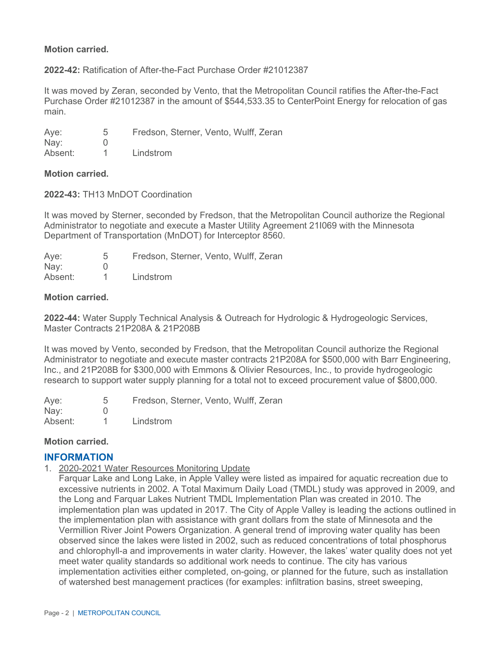#### **Motion carried.**

#### **2022-42:** Ratification of After-the-Fact Purchase Order #21012387

 It was moved by Zeran, seconded by Vento, that the Metropolitan Council ratifies the After-the-Fact Purchase Order #21012387 in the amount of \$544,533.35 to CenterPoint Energy for relocation of gas main.

Ave: Nay: 5 0 Fredson, Sterner, Vento, Wulff, Zeran

Absent: 1 Lindstrom

#### **Motion carried.**

#### **2022-43:** TH13 MnDOT Coordination

 It was moved by Sterner, seconded by Fredson, that the Metropolitan Council authorize the Regional Administrator to negotiate and execute a Master Utility Agreement 21I069 with the Minnesota Department of Transportation (MnDOT) for Interceptor 8560.

| Aye:          | Fredson, Sterner, Vento, Wulff, Zeran |
|---------------|---------------------------------------|
| $\text{Nay:}$ |                                       |
| Absent:       | Lindstrom                             |

#### **Motion carried.**

**2022-44:** Water Supply Technical Analysis & Outreach for Hydrologic & Hydrogeologic Services, Master Contracts 21P208A & 21P208B

 It was moved by Vento, seconded by Fredson, that the Metropolitan Council authorize the Regional Administrator to negotiate and execute master contracts 21P208A for \$500,000 with Barr Engineering, Inc., and 21P208B for \$300,000 with Emmons & Olivier Resources, Inc., to provide hydrogeologic research to support water supply planning for a total not to exceed procurement value of \$800,000.

Aye: Nay: 0  $\mathbf{1}$ 5 Fredson, Sterner, Vento, Wulff, Zeran Absent: 1 Lindstrom

#### **Motion carried.**

#### **INFORMATION**

1. 2020-2021 Water Resources Monitoring Update

 meet water quality standards so additional work needs to continue. The city has various Farquar Lake and Long Lake, in Apple Valley were listed as impaired for aquatic recreation due to excessive nutrients in 2002. A Total Maximum Daily Load (TMDL) study was approved in 2009, and the Long and Farquar Lakes Nutrient TMDL Implementation Plan was created in 2010. The implementation plan was updated in 2017. The City of Apple Valley is leading the actions outlined in the implementation plan with assistance with grant dollars from the state of Minnesota and the Vermillion River Joint Powers Organization. A general trend of improving water quality has been observed since the lakes were listed in 2002, such as reduced concentrations of total phosphorus and chlorophyll-a and improvements in water clarity. However, the lakes' water quality does not yet implementation activities either completed, on-going, or planned for the future, such as installation of watershed best management practices (for examples: infiltration basins, street sweeping,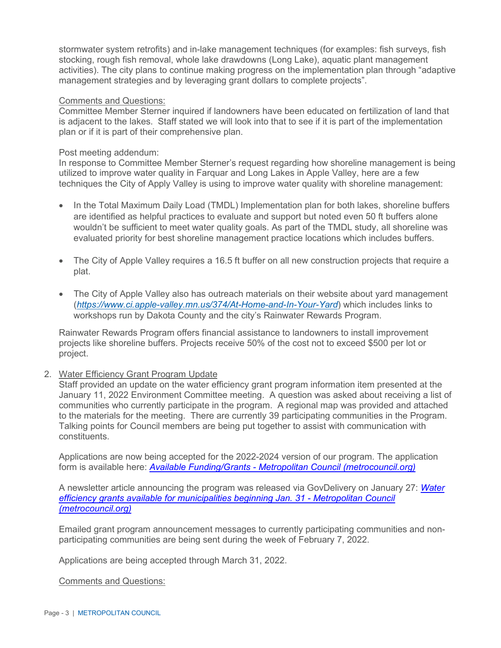management strategies and by leveraging grant dollars to complete projects". stormwater system retrofits) and in-lake management techniques (for examples: fish surveys, fish stocking, rough fish removal, whole lake drawdowns (Long Lake), aquatic plant management activities). The city plans to continue making progress on the implementation plan through "adaptive

#### Comments and Questions:

 is adjacent to the lakes. Staff stated we will look into that to see if it is part of the implementation Committee Member Sterner inquired if landowners have been educated on fertilization of land that plan or if it is part of their comprehensive plan.

#### Post meeting addendum:

 In response to Committee Member Sterner's request regarding how shoreline management is being utilized to improve water quality in Farquar and Long Lakes in Apple Valley, here are a few techniques the City of Apply Valley is using to improve water quality with shoreline management:

- In the Total Maximum Daily Load (TMDL) Implementation plan for both lakes, shoreline buffers are identified as helpful practices to evaluate and support but noted even 50 ft buffers alone wouldn't be sufficient to meet water quality goals. As part of the TMDL study, all shoreline was evaluated priority for best shoreline management practice locations which includes buffers.
- • The City of Apple Valley requires a 16.5 ft buffer on all new construction projects that require a plat.
- The City of Apple Valley also has outreach materials on their website about yard management (*[https://www.ci.apple-valley.mn.us/374/At-Home-and-In-Your-Yard](https://gcc02.safelinks.protection.outlook.com/?url=https%3A%2F%2Fwww.ci.apple-valley.mn.us%2F374%2FAt-Home-and-In-Your-Yard&data=04%7C01%7CSusan.Taylor%40metc.state.mn.us%7Ca121caac34b749ac5a9508d9ebe113b7%7Cddbff68b482a457381e0fef8156a4fd0%7C0%7C0%7C637800174205509022%7CUnknown%7CTWFpbGZsb3d8eyJWIjoiMC4wLjAwMDAiLCJQIjoiV2luMzIiLCJBTiI6Ik1haWwiLCJXVCI6Mn0%3D%7C3000&sdata=7yZDjSLQrg7cVI38RospJAkDqayh6JNu1O%2B1o4yV%2B%2Fo%3D&reserved=0)*) which includes links to workshops run by Dakota County and the city's Rainwater Rewards Program.

Rainwater Rewards Program offers financial assistance to landowners to install improvement projects like shoreline buffers. Projects receive 50% of the cost not to exceed \$500 per lot or project.

2. Water Efficiency Grant Program Update

 to the materials for the meeting. There are currently 39 participating communities in the Program. Talking points for Council members are being put together to assist with communication with Staff provided an update on the water efficiency grant program information item presented at the January 11, 2022 Environment Committee meeting. A question was asked about receiving a list of communities who currently participate in the program. A regional map was provided and attached constituents.

Applications are now being accepted for the 2022-2024 version of our program. The application form is available here: *Available Funding/Grants - [Metropolitan Council \(metrocouncil.org\)](https://gcc02.safelinks.protection.outlook.com/?url=https%3A%2F%2Fmetrocouncil.org%2FWastewater-Water%2FFunding-Finance%2FAvailable-Funding-Grants.aspx&data=04%7C01%7CSusan.Taylor%40metc.state.mn.us%7C368f1cdd012a4b7c8f5608d9e8064ef1%7Cddbff68b482a457381e0fef8156a4fd0%7C0%7C0%7C637795936189811613%7CUnknown%7CTWFpbGZsb3d8eyJWIjoiMC4wLjAwMDAiLCJQIjoiV2luMzIiLCJBTiI6Ik1haWwiLCJXVCI6Mn0%3D%7C3000&sdata=CV9OgDP03BcAeIA%2FUWradaIu3O6wzlndU%2FTaIX0AVcs%3D&reserved=0)* 

 *[efficiency grants available for municipalities beginning Jan. 31 -](https://gcc02.safelinks.protection.outlook.com/?url=https%3A%2F%2Fmetrocouncil.org%2FNews-Events%2FWastewater-Water%2FNewsletters%2FWater-efficiency-grants-2022.aspx&data=04%7C01%7CSusan.Taylor%40metc.state.mn.us%7C368f1cdd012a4b7c8f5608d9e8064ef1%7Cddbff68b482a457381e0fef8156a4fd0%7C0%7C0%7C637795936189811613%7CUnknown%7CTWFpbGZsb3d8eyJWIjoiMC4wLjAwMDAiLCJQIjoiV2luMzIiLCJBTiI6Ik1haWwiLCJXVCI6Mn0%3D%7C3000&sdata=Qn3CAmzoth8iCrk3SDZC2ew1HYkXj8voNpWF186Ogno%3D&reserved=0) Metropolitan Council*  A newsletter article announcing the program was released via GovDelivery on January 27: *[Water](https://gcc02.safelinks.protection.outlook.com/?url=https%3A%2F%2Fmetrocouncil.org%2FNews-Events%2FWastewater-Water%2FNewsletters%2FWater-efficiency-grants-2022.aspx&data=04%7C01%7CSusan.Taylor%40metc.state.mn.us%7C368f1cdd012a4b7c8f5608d9e8064ef1%7Cddbff68b482a457381e0fef8156a4fd0%7C0%7C0%7C637795936189811613%7CUnknown%7CTWFpbGZsb3d8eyJWIjoiMC4wLjAwMDAiLCJQIjoiV2luMzIiLCJBTiI6Ik1haWwiLCJXVCI6Mn0%3D%7C3000&sdata=Qn3CAmzoth8iCrk3SDZC2ew1HYkXj8voNpWF186Ogno%3D&reserved=0)  [\(metrocouncil.org\)](https://gcc02.safelinks.protection.outlook.com/?url=https%3A%2F%2Fmetrocouncil.org%2FNews-Events%2FWastewater-Water%2FNewsletters%2FWater-efficiency-grants-2022.aspx&data=04%7C01%7CSusan.Taylor%40metc.state.mn.us%7C368f1cdd012a4b7c8f5608d9e8064ef1%7Cddbff68b482a457381e0fef8156a4fd0%7C0%7C0%7C637795936189811613%7CUnknown%7CTWFpbGZsb3d8eyJWIjoiMC4wLjAwMDAiLCJQIjoiV2luMzIiLCJBTiI6Ik1haWwiLCJXVCI6Mn0%3D%7C3000&sdata=Qn3CAmzoth8iCrk3SDZC2ew1HYkXj8voNpWF186Ogno%3D&reserved=0)* 

Emailed grant program announcement messages to currently participating communities and nonparticipating communities are being sent during the week of February 7, 2022.

Applications are being accepted through March 31, 2022.

Comments and Questions: